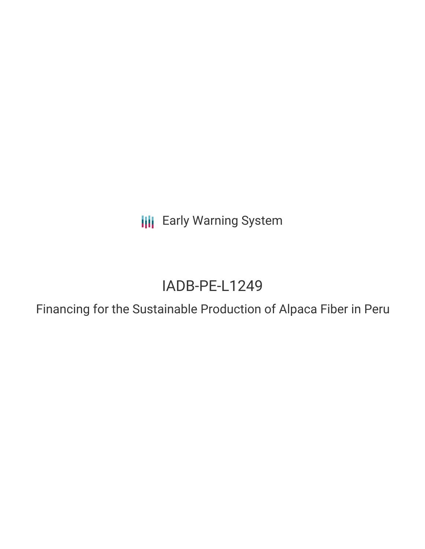**III** Early Warning System

# IADB-PE-L1249

Financing for the Sustainable Production of Alpaca Fiber in Peru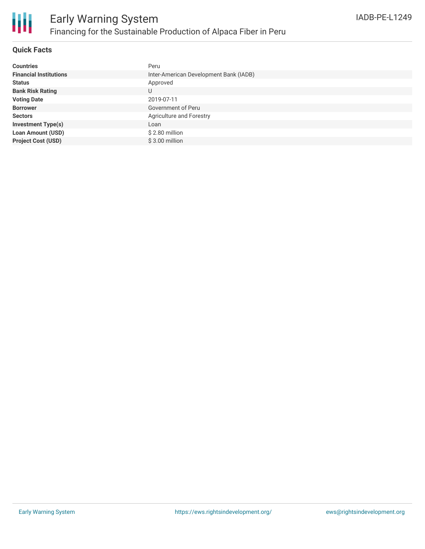

# **Quick Facts**

| <b>Countries</b>              | Peru                                   |
|-------------------------------|----------------------------------------|
| <b>Financial Institutions</b> | Inter-American Development Bank (IADB) |
| <b>Status</b>                 | Approved                               |
| <b>Bank Risk Rating</b>       | U                                      |
| <b>Voting Date</b>            | 2019-07-11                             |
| <b>Borrower</b>               | Government of Peru                     |
| <b>Sectors</b>                | Agriculture and Forestry               |
| <b>Investment Type(s)</b>     | Loan                                   |
| <b>Loan Amount (USD)</b>      | \$2.80 million                         |
| <b>Project Cost (USD)</b>     | $$3.00$ million                        |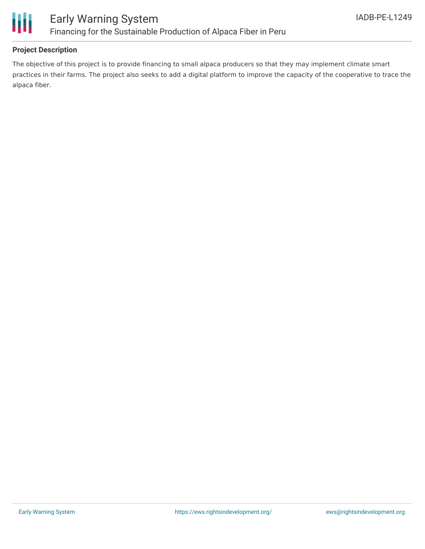

# **Project Description**

The objective of this project is to provide financing to small alpaca producers so that they may implement climate smart practices in their farms. The project also seeks to add a digital platform to improve the capacity of the cooperative to trace the alpaca fiber.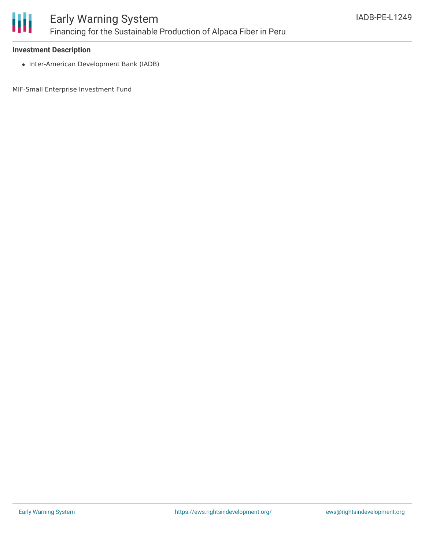

#### **Investment Description**

• Inter-American Development Bank (IADB)

MIF-Small Enterprise Investment Fund